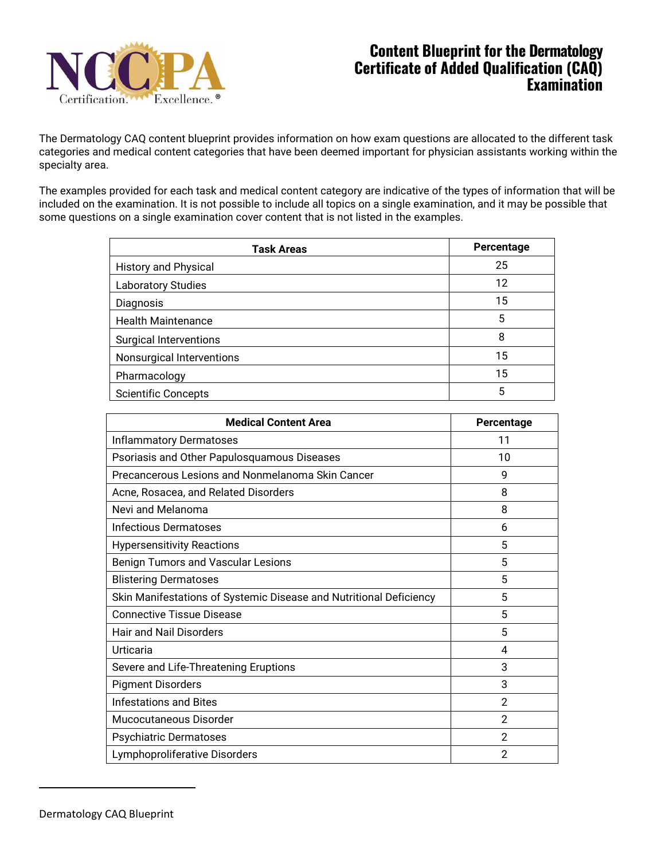

The Dermatology CAQ content blueprint provides information on how exam questions are allocated to the different task categories and medical content categories that have been deemed important for physician assistants working within the specialty area.

The examples provided for each task and medical content category are indicative of the types of information that will be included on the examination. It is not possible to include all topics on a single examination, and it may be possible that some questions on a single examination cover content that is not listed in the examples.

| <b>Task Areas</b>             | Percentage |
|-------------------------------|------------|
| <b>History and Physical</b>   | 25         |
| <b>Laboratory Studies</b>     | 12         |
| Diagnosis                     | 15         |
| <b>Health Maintenance</b>     | 5          |
| <b>Surgical Interventions</b> | 8          |
| Nonsurgical Interventions     | 15         |
| Pharmacology                  | 15         |
| <b>Scientific Concepts</b>    | 5          |

| <b>Medical Content Area</b>                                        | Percentage     |
|--------------------------------------------------------------------|----------------|
| <b>Inflammatory Dermatoses</b>                                     | 11             |
| Psoriasis and Other Papulosquamous Diseases                        | 10             |
| Precancerous Lesions and Nonmelanoma Skin Cancer                   | 9              |
| Acne, Rosacea, and Related Disorders                               | 8              |
| Nevi and Melanoma                                                  | 8              |
| <b>Infectious Dermatoses</b>                                       | 6              |
| <b>Hypersensitivity Reactions</b>                                  | 5              |
| <b>Benign Tumors and Vascular Lesions</b>                          | 5              |
| <b>Blistering Dermatoses</b>                                       | 5              |
| Skin Manifestations of Systemic Disease and Nutritional Deficiency | 5              |
| <b>Connective Tissue Disease</b>                                   | 5              |
| <b>Hair and Nail Disorders</b>                                     | 5              |
| Urticaria                                                          | 4              |
| Severe and Life-Threatening Eruptions                              | 3              |
| <b>Pigment Disorders</b>                                           | 3              |
| <b>Infestations and Bites</b>                                      | $\mathbf{2}$   |
| Mucocutaneous Disorder                                             | $\mathfrak{p}$ |
| <b>Psychiatric Dermatoses</b>                                      | $\mathfrak{p}$ |
| Lymphoproliferative Disorders                                      | $\overline{2}$ |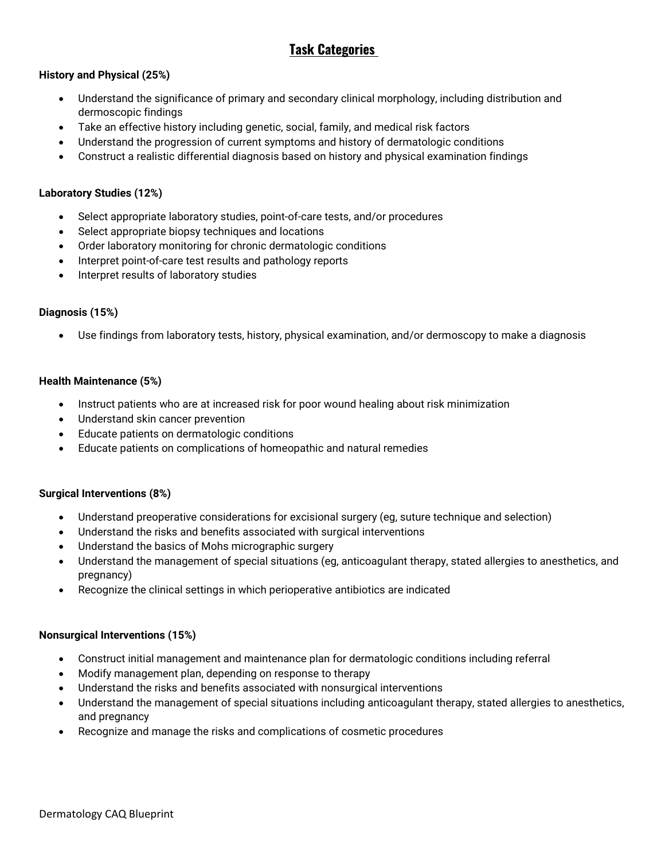# **Task Categories**

### **History and Physical (25%)**

- Understand the significance of primary and secondary clinical morphology, including distribution and dermoscopic findings
- Take an effective history including genetic, social, family, and medical risk factors
- Understand the progression of current symptoms and history of dermatologic conditions
- Construct a realistic differential diagnosis based on history and physical examination findings

#### **Laboratory Studies (12%)**

- Select appropriate laboratory studies, point-of-care tests, and/or procedures
- Select appropriate biopsy techniques and locations
- Order laboratory monitoring for chronic dermatologic conditions
- Interpret point-of-care test results and pathology reports
- Interpret results of laboratory studies

### **Diagnosis (15%)**

• Use findings from laboratory tests, history, physical examination, and/or dermoscopy to make a diagnosis

#### **Health Maintenance (5%)**

- Instruct patients who are at increased risk for poor wound healing about risk minimization
- Understand skin cancer prevention
- Educate patients on dermatologic conditions
- Educate patients on complications of homeopathic and natural remedies

#### **Surgical Interventions (8%)**

- Understand preoperative considerations for excisional surgery (eg, suture technique and selection)
- Understand the risks and benefits associated with surgical interventions
- Understand the basics of Mohs micrographic surgery
- Understand the management of special situations (eg, anticoagulant therapy, stated allergies to anesthetics, and pregnancy)
- Recognize the clinical settings in which perioperative antibiotics are indicated

#### **Nonsurgical Interventions (15%)**

- Construct initial management and maintenance plan for dermatologic conditions including referral
- Modify management plan, depending on response to therapy
- Understand the risks and benefits associated with nonsurgical interventions
- Understand the management of special situations including anticoagulant therapy, stated allergies to anesthetics, and pregnancy
- Recognize and manage the risks and complications of cosmetic procedures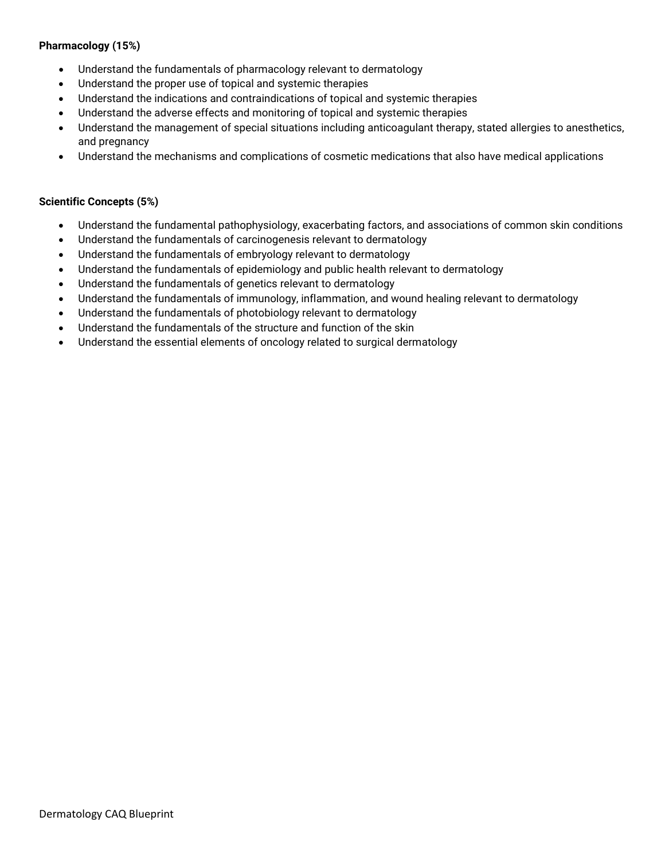#### **Pharmacology (15%)**

- Understand the fundamentals of pharmacology relevant to dermatology
- Understand the proper use of topical and systemic therapies
- Understand the indications and contraindications of topical and systemic therapies
- Understand the adverse effects and monitoring of topical and systemic therapies
- Understand the management of special situations including anticoagulant therapy, stated allergies to anesthetics, and pregnancy
- Understand the mechanisms and complications of cosmetic medications that also have medical applications

#### **Scientific Concepts (5%)**

- Understand the fundamental pathophysiology, exacerbating factors, and associations of common skin conditions
- Understand the fundamentals of carcinogenesis relevant to dermatology
- Understand the fundamentals of embryology relevant to dermatology
- Understand the fundamentals of epidemiology and public health relevant to dermatology
- Understand the fundamentals of genetics relevant to dermatology
- Understand the fundamentals of immunology, inflammation, and wound healing relevant to dermatology
- Understand the fundamentals of photobiology relevant to dermatology
- Understand the fundamentals of the structure and function of the skin
- Understand the essential elements of oncology related to surgical dermatology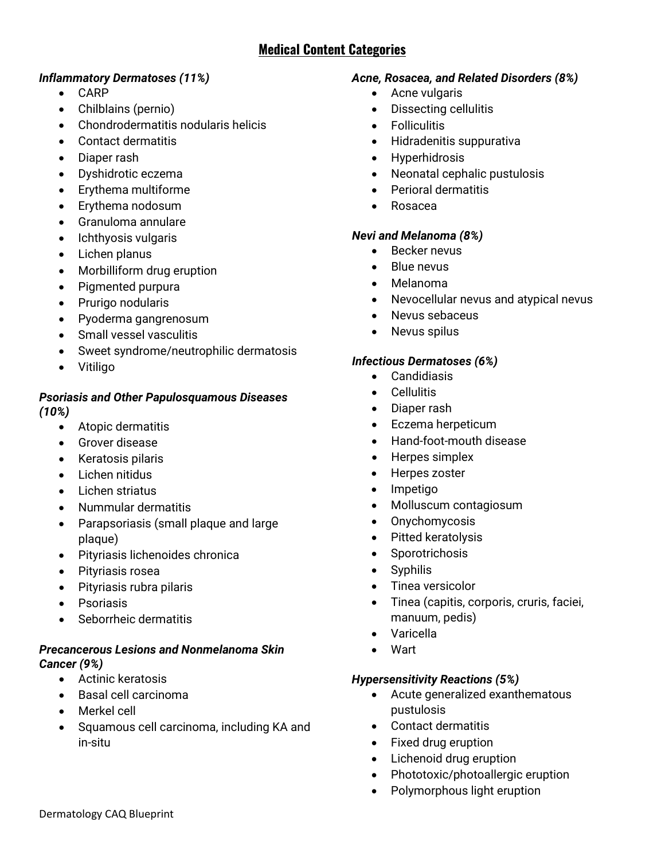# **Medical Content Categories**

## *Inflammatory Dermatoses (11%)*

- CARP
- Chilblains (pernio)
- Chondrodermatitis nodularis helicis
- Contact dermatitis
- Diaper rash
- Dyshidrotic eczema
- Erythema multiforme
- Erythema nodosum
- Granuloma annulare
- Ichthyosis vulgaris
- Lichen planus
- Morbilliform drug eruption
- Pigmented purpura
- Prurigo nodularis
- Pyoderma gangrenosum
- Small vessel vasculitis
- Sweet syndrome/neutrophilic dermatosis
- Vitiligo

### *Psoriasis and Other Papulosquamous Diseases (10%)*

- Atopic dermatitis
- Grover disease
- Keratosis pilaris
- Lichen nitidus
- Lichen striatus
- Nummular dermatitis
- Parapsoriasis (small plaque and large plaque)
- Pityriasis lichenoides chronica
- Pityriasis rosea
- Pityriasis rubra pilaris
- Psoriasis
- Seborrheic dermatitis

### *Precancerous Lesions and Nonmelanoma Skin Cancer (9%)*

- Actinic keratosis
- Basal cell carcinoma
- Merkel cell
- Squamous cell carcinoma, including KA and in-situ

## *Acne, Rosacea, and Related Disorders (8%)*

- Acne vulgaris
- Dissecting cellulitis
- **Folliculitis**
- Hidradenitis suppurativa
- Hyperhidrosis
- Neonatal cephalic pustulosis
- Perioral dermatitis
- Rosacea

## *Nevi and Melanoma (8%)*

- Becker nevus
- Blue nevus
- Melanoma
- Nevocellular nevus and atypical nevus
- Nevus sebaceus
- Nevus spilus

## *Infectious Dermatoses (6%)*

- Candidiasis
- Cellulitis
- Diaper rash
- Eczema herpeticum
- Hand-foot-mouth disease
- Herpes simplex
- Herpes zoster
- Impetigo
- Molluscum contagiosum
- Onychomycosis
- Pitted keratolysis
- Sporotrichosis
- Syphilis
- Tinea versicolor
- Tinea (capitis, corporis, cruris, faciei, manuum, pedis)
- Varicella
- Wart

## *Hypersensitivity Reactions (5%)*

- Acute generalized exanthematous pustulosis
- Contact dermatitis
- Fixed drug eruption
- Lichenoid drug eruption
- Phototoxic/photoallergic eruption
- Polymorphous light eruption